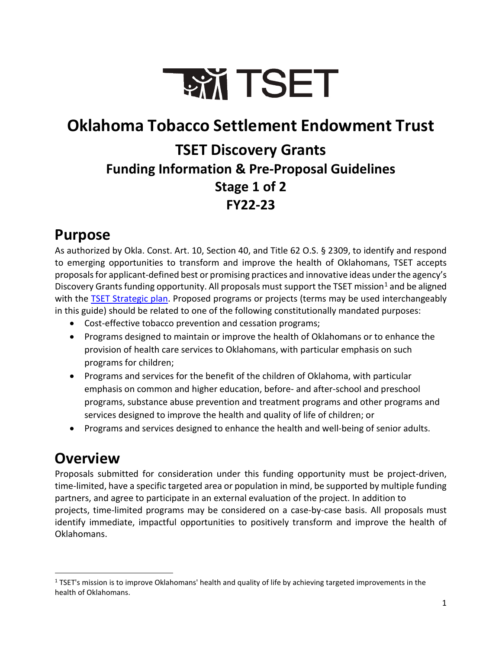

## <span id="page-0-1"></span>**Oklahoma Tobacco Settlement Endowment Trust TSET Discovery Grants Funding Information & Pre-Proposal Guidelines Stage 1 of 2 FY22-23**

### **Purpose**

As authorized by Okla. Const. Art. 10, Section 40, and Title 62 O.S. § 2309, to identify and respond to emerging opportunities to transform and improve the health of Oklahomans, TSET accepts proposals for applicant-defined best or promising practices and innovative ideas under the agency's Discovery Grants funding opportunity. All proposals must support the TSET mission<sup>[1](#page-0-0)</sup> and be aligned with the [TSET Strategic plan.](https://tset.ok.gov/sites/g/files/gmc166/f/30261%20TSET-21-08%20TSET%20Brand%20One%20Sheeter%20Updates_BrandVision_StratMap_F%5B2%5D.pdf) Proposed programs or projects (terms may be used interchangeably in this guide) should be related to one of the following constitutionally mandated purposes:

- Cost-effective tobacco prevention and cessation programs;
- Programs designed to maintain or improve the health of Oklahomans or to enhance the provision of health care services to Oklahomans, with particular emphasis on such programs for children;
- Programs and services for the benefit of the children of Oklahoma, with particular emphasis on common and higher education, before- and after-school and preschool programs, substance abuse prevention and treatment programs and other programs and services designed to improve the health and quality of life of children; or
- Programs and services designed to enhance the health and well-being of senior adults.

## **Overview**

Proposals submitted for consideration under this funding opportunity must be project-driven, time-limited, have a specific targeted area or population in mind, be supported by multiple funding partners, and agree to participate in an external evaluation of the project. In addition to projects, time-limited programs may be considered on a case-by-case basis. All proposals must identify immediate, impactful opportunities to positively transform and improve the health of Oklahomans.

<span id="page-0-0"></span> $1$  TSET's mission is to improve Oklahomans' health and quality of life by achieving targeted improvements in the health of Oklahomans.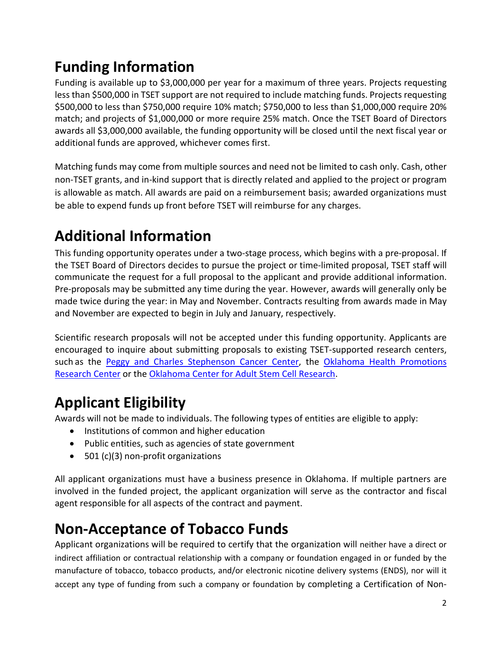## **Funding Information**

Funding is available up to \$3,000,000 per year for a maximum of three years. Projects requesting less than \$500,000 in TSET support are not required to include matching funds. Projects requesting \$500,000 to less than \$750,000 require 10% match; \$750,000 to less than \$1,000,000 require 20% match; and projects of \$1,000,000 or more require 25% match. Once the TSET Board of Directors awards all \$3,000,000 available, the funding opportunity will be closed until the next fiscal year or additional funds are approved, whichever comes first.

Matching funds may come from multiple sources and need not be limited to cash only. Cash, other non-TSET grants, and in-kind support that is directly related and applied to the project or program is allowable as match. All awards are paid on a reimbursement basis; awarded organizations must be able to expend funds up front before TSET will reimburse for any charges.

## **Additional Information**

This funding opportunity operates under a two-stage process, which begins with a pre-proposal. If the TSET Board of Directors decides to pursue the project or time-limited proposal, TSET staff will communicate the request for a full proposal to the applicant and provide additional information. Pre-proposals may be submitted any time during the year. However, awards will generally only be made twice during the year: in May and November. Contracts resulting from awards made in May and November are expected to begin in July and January, respectively.

Scientific research proposals will not be accepted under this funding opportunity. Applicants are encouraged to inquire about submitting proposals to existing TSET-supported research centers, such as the [Peggy and Charles Stephenson Cancer Center,](https://www.ouhealth.com/stephenson-cancer-center/cancer-research/) the [Oklahoma Health Promotions](https://healthpromotionresearch.org/) [Research Center](https://healthpromotionresearch.org/) or the [Oklahoma Center for Adult Stem Cell Research.](http://www.ocascr.org/)

# **Applicant Eligibility**

Awards will not be made to individuals. The following types of entities are eligible to apply:

- Institutions of common and higher education
- Public entities, such as agencies of state government
- 501 (c)(3) non-profit organizations

All applicant organizations must have a business presence in Oklahoma. If multiple partners are involved in the funded project, the applicant organization will serve as the contractor and fiscal agent responsible for all aspects of the contract and payment.

## **Non-Acceptance of Tobacco Funds**

Applicant organizations will be required to certify that the organization will neither have a direct or indirect affiliation or contractual relationship with a company or foundation engaged in or funded by the manufacture of tobacco, tobacco products, and/or electronic nicotine delivery systems (ENDS), nor will it accept any type of funding from such a company or foundation by completing a Certification of Non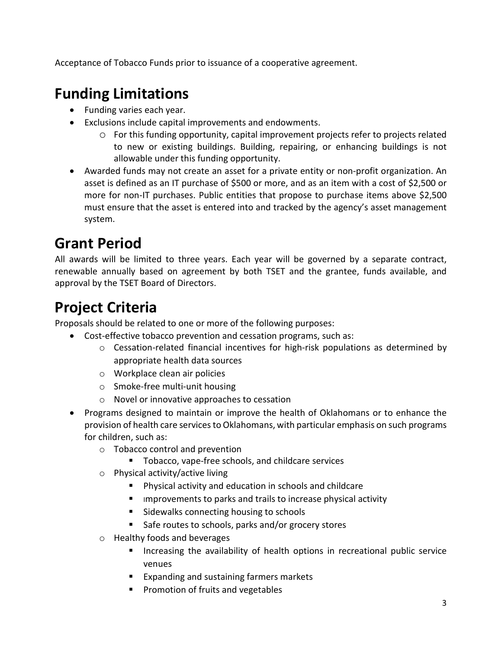Acceptance of Tobacco Funds prior to issuance of a cooperative agreement.

## **Funding Limitations**

- Funding varies each year.
- Exclusions include capital improvements and endowments.
	- o For this funding opportunity, capital improvement projects refer to projects related to new or existing buildings. Building, repairing, or enhancing buildings is not allowable under this funding opportunity.
- Awarded funds may not create an asset for a private entity or non-profit organization. An asset is defined as an IT purchase of \$500 or more, and as an item with a cost of \$2,500 or more for non-IT purchases. Public entities that propose to purchase items above \$2,500 must ensure that the asset is entered into and tracked by the agency's asset management system.

## **Grant Period**

All awards will be limited to three years. Each year will be governed by a separate contract, renewable annually based on agreement by both TSET and the grantee, funds available, and approval by the TSET Board of Directors.

## **Project Criteria**

Proposals should be related to one or more of the following purposes:

- Cost-effective tobacco prevention and cessation programs, such as:
	- $\circ$  Cessation-related financial incentives for high-risk populations as determined by appropriate health data sources
	- o Workplace clean air policies
	- o Smoke-free multi-unit housing
	- o Novel or innovative approaches to cessation
- Programs designed to maintain or improve the health of Oklahomans or to enhance the provision of health care services to Oklahomans, with particular emphasis on such programs for children, such as:
	- o Tobacco control and prevention
		- Tobacco, vape-free schools, and childcare services
	- o Physical activity/active living
		- Physical activity and education in schools and childcare
		- **IDED** improvements to parks and trails to increase physical activity
		- Sidewalks connecting housing to schools
		- Safe routes to schools, parks and/or grocery stores
	- o Healthy foods and beverages
		- Increasing the availability of health options in recreational public service venues
		- **Expanding and sustaining farmers markets**
		- **Promotion of fruits and vegetables**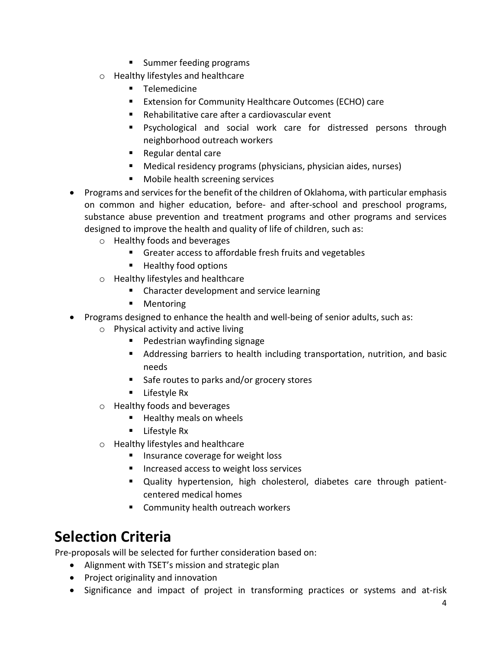- **Summer feeding programs**
- o Healthy lifestyles and healthcare
	- **Telemedicine**
	- Extension for Community Healthcare Outcomes (ECHO) care
	- Rehabilitative care after a cardiovascular event
	- Psychological and social work care for distressed persons through neighborhood outreach workers
	- Regular dental care
	- Medical residency programs (physicians, physician aides, nurses)
	- **Mobile health screening services**
- Programs and services for the benefit of the children of Oklahoma, with particular emphasis on common and higher education, before- and after-school and preschool programs, substance abuse prevention and treatment programs and other programs and services designed to improve the health and quality of life of children, such as:
	- o Healthy foods and beverages
		- Greater access to affordable fresh fruits and vegetables
		- Healthy food options
	- o Healthy lifestyles and healthcare
		- **EXP** Character development and service learning
		- **Mentoring**
- Programs designed to enhance the health and well-being of senior adults, such as:
	- o Physical activity and active living
		- **Pedestrian wayfinding signage**
		- Addressing barriers to health including transportation, nutrition, and basic needs
		- Safe routes to parks and/or grocery stores
		- **Lifestyle Rx**
	- o Healthy foods and beverages
		- Healthy meals on wheels
		- $\blacksquare$  Lifestyle Rx
	- o Healthy lifestyles and healthcare
		- **If** Insurance coverage for weight loss
		- **Increased access to weight loss services**
		- Quality hypertension, high cholesterol, diabetes care through patientcentered medical homes
		- Community health outreach workers

### **Selection Criteria**

Pre-proposals will be selected for further consideration based on:

- Alignment with TSET's mission and strategic plan
- Project originality and innovation
- Significance and impact of project in transforming practices or systems and at-risk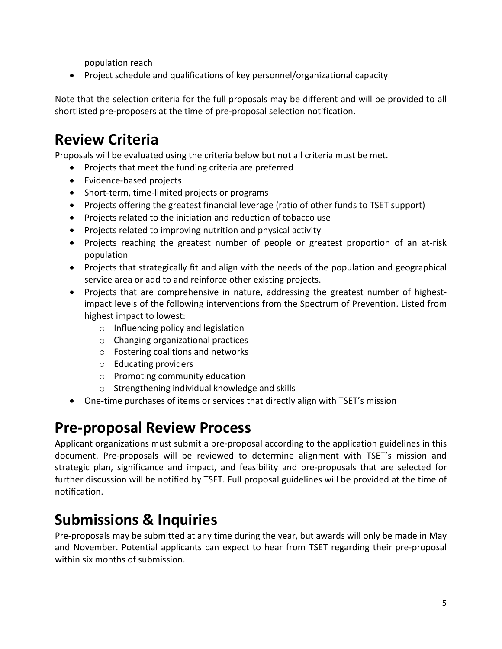population reach

• Project schedule and qualifications of key personnel/organizational capacity

Note that the selection criteria for the full proposals may be different and will be provided to all shortlisted pre-proposers at the time of pre-proposal selection notification.

## **Review Criteria**

Proposals will be evaluated using the criteria below but not all criteria must be met.

- Projects that meet the funding criteria are preferred
- Evidence-based projects
- Short-term, time-limited projects or programs
- Projects offering the greatest financial leverage (ratio of other funds to TSET support)
- Projects related to the initiation and reduction of tobacco use
- Projects related to improving nutrition and physical activity
- Projects reaching the greatest number of people or greatest proportion of an at-risk population
- Projects that strategically fit and align with the needs of the population and geographical service area or add to and reinforce other existing projects.
- Projects that are comprehensive in nature, addressing the greatest number of highestimpact levels of the following interventions from the [Spectrum of Prevention.](http://www.ok.gov/tset/documents/1PGR_spectrum_of_prevention_web_020105.pdf) Listed from highest impact to lowest:
	- o Influencing policy and legislation
	- o Changing organizational practices
	- o Fostering coalitions and networks
	- o Educating providers
	- o Promoting community education
	- o Strengthening individual knowledge and skills
- One-time purchases of items or services that directly align with TSET's mission

### **Pre-proposal Review Process**

Applicant organizations must submit a pre-proposal according to the application guidelines in this document. Pre-proposals will be reviewed to determine alignment with TSET's mission and strategic plan, significance and impact, and feasibility and pre-proposals that are selected for further discussion will be notified by TSET. Full proposal guidelines will be provided at the time of notification.

### **Submissions & Inquiries**

Pre-proposals may be submitted at any time during the year, but awards will only be made in May and November. Potential applicants can expect to hear from TSET regarding their pre-proposal within six months of submission.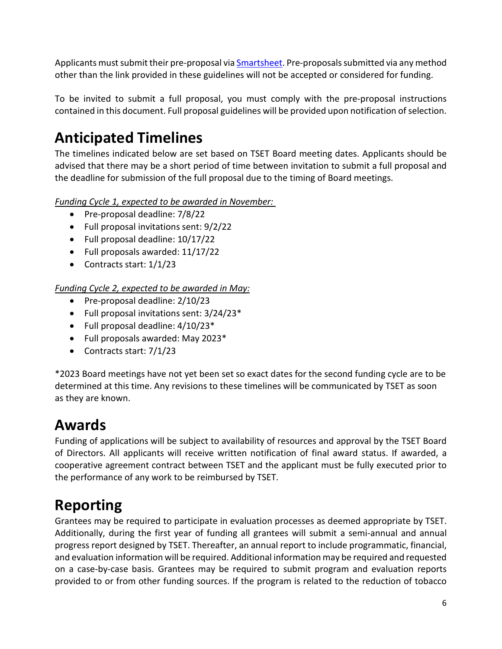Applicants must submit their pre-proposal vi[a Smartsheet.](https://app.smartsheet.com/b/form/6961e6c67d9445a2906c490511fb1988) Pre-proposals submitted via any method other than the link provided in these guidelines will not be accepted or considered for funding.

To be invited to submit a full proposal, you must comply with the pre-proposal instructions contained in this document. Full proposal guidelines will be provided upon notification of selection.

## **Anticipated Timelines**

The timelines indicated below are set based on TSET Board meeting dates. Applicants should be advised that there may be a short period of time between invitation to submit a full proposal and the deadline for submission of the full proposal due to the timing of Board meetings.

*Funding Cycle 1, expected to be awarded in November:* 

- Pre-proposal deadline: 7/8/22
- Full proposal invitations sent: 9/2/22
- Full proposal deadline: 10/17/22
- Full proposals awarded: 11/17/22
- Contracts start: 1/1/23

*Funding Cycle 2, expected to be awarded in May:*

- Pre-proposal deadline: 2/10/23
- Full proposal invitations sent: 3/24/23\*
- Full proposal deadline: 4/10/23\*
- Full proposals awarded: May 2023\*
- Contracts start: 7/1/23

\*2023 Board meetings have not yet been set so exact dates for the second funding cycle are to be determined at this time. Any revisions to these timelines will be communicated by TSET as soon as they are known.

### **Awards**

Funding of applications will be subject to availability of resources and approval by the TSET Board of Directors. All applicants will receive written notification of final award status. If awarded, a cooperative agreement contract between TSET and the applicant must be fully executed prior to the performance of any work to be reimbursed by TSET.

### **Reporting**

Grantees may be required to participate in evaluation processes as deemed appropriate by TSET. Additionally, during the first year of funding all grantees will submit a semi-annual and annual progress report designed by TSET. Thereafter, an annual report to include programmatic, financial, and evaluation information will be required. Additional information may be required and requested on a case-by-case basis. Grantees may be required to submit program and evaluation reports provided to or from other funding sources. If the program is related to the reduction of tobacco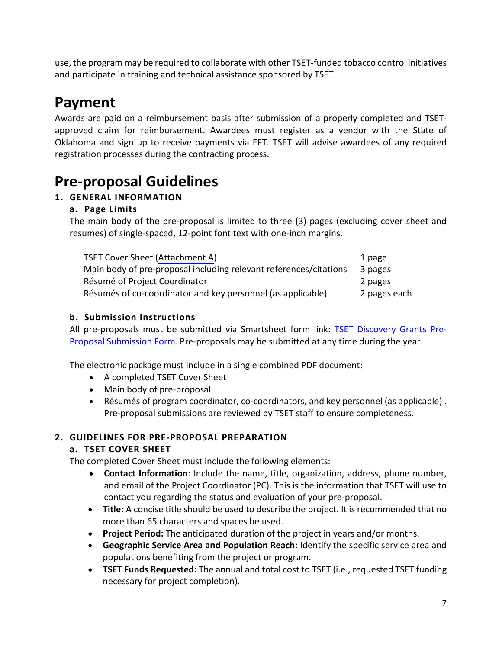use, the program may be required to collaborate with other TSET-funded tobacco control initiatives and participate in training and technical assistance sponsored by TSET.

### **Payment**

Awards are paid on a reimbursement basis after submission of a properly completed and TSETapproved claim for reimbursement. Awardees must register as a vendor with the State of Oklahoma and sign up to receive payments via EFT. TSET will advise awardees of any required registration processes during the contracting process.

### **Pre-proposal Guidelines**

#### **1. GENERAL INFORMATION**

#### **a. Page Limits**

The main body of the pre-proposal is limited to three (3) pages (excluding cover sheet and resumes) of single-spaced, 12-point font text with one-inch margins.

| <b>TSET Cover Sheet (Attachment A)</b>                            | 1 page       |
|-------------------------------------------------------------------|--------------|
| Main body of pre-proposal including relevant references/citations | 3 pages      |
| Résumé of Project Coordinator                                     | 2 pages      |
| Résumés of co-coordinator and key personnel (as applicable)       | 2 pages each |

#### **b. Submission Instructions**

All pre-proposals must be submitted via Smartsheet form link: [TSET Discovery Grants Pre-](https://app.smartsheet.com/b/form/6961e6c67d9445a2906c490511fb1988)[Proposal Submission Form.](https://app.smartsheet.com/b/form/6961e6c67d9445a2906c490511fb1988) Pre-proposals may be submitted at any time during the year.

The electronic package must include in a single combined PDF document:

- A completed TSET Cover Sheet
- Main body of pre-proposal
- Résumés of program coordinator, co-coordinators, and key personnel (as applicable) . Pre-proposal submissions are reviewed by TSET staff to ensure completeness.

#### **2. GUIDELINES FOR PRE-PROPOSAL PREPARATION**

#### **a. TSET COVER SHEET**

The completed Cover Sheet must include the following elements:

- **Contact Information**: Include the name, title, organization, address, phone number, and email of the Project Coordinator (PC). This is the information that TSET will use to contact you regarding the status and evaluation of your pre-proposal.
- **Title:** A concise title should be used to describe the project. It is recommended that no more than 65 characters and spaces be used.
- **Project Period:** The anticipated duration of the project in years and/or months.
- **Geographic Service Area and Population Reach:** Identify the specific service area and populations benefiting from the project or program.
- **TSET Funds Requested:** The annual and total cost to TSET (i.e., requested TSET funding necessary for project completion).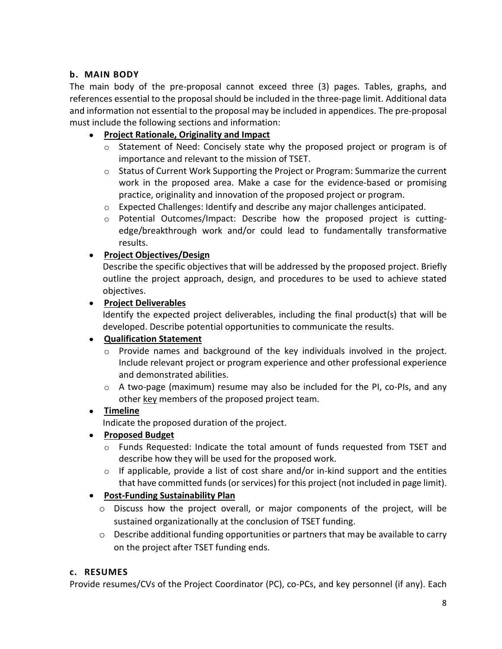#### **b. MAIN BODY**

The main body of the pre-proposal cannot exceed three (3) pages. Tables, graphs, and references essential to the proposal should be included in the three-page limit. Additional data and information not essential to the proposal may be included in appendices. The pre-proposal must include the following sections and information:

#### • **Project Rationale, Originality and Impact**

- o Statement of Need: Concisely state why the proposed project or program is of importance and relevant to the mission of TSET.
- o Status of Current Work Supporting the Project or Program: Summarize the current work in the proposed area. Make a case for the evidence-based or promising practice, originality and innovation of the proposed project or program.
- $\circ$  Expected Challenges: Identify and describe any major challenges anticipated.
- o Potential Outcomes/Impact: Describe how the proposed project is cuttingedge/breakthrough work and/or could lead to fundamentally transformative results.

#### • **Project Objectives/Design**

Describe the specific objectives that will be addressed by the proposed project. Briefly outline the project approach, design, and procedures to be used to achieve stated objectives.

#### • **Project Deliverables**

Identify the expected project deliverables, including the final product(s) that will be developed. Describe potential opportunities to communicate the results.

#### • **Qualification Statement**

- o Provide names and background of the key individuals involved in the project. Include relevant project or program experience and other professional experience and demonstrated abilities.
- o A two-page (maximum) resume may also be included for the PI, co-PIs, and any other key members of the proposed project team.

#### • **Timeline**

Indicate the proposed duration of the project.

#### • **Proposed Budget**

- $\circ$  Funds Requested: Indicate the total amount of funds requested from TSET and describe how they will be used for the proposed work.
- o If applicable, provide a list of cost share and/or in-kind support and the entities that have committed funds (or services) for this project (not included in page limit).

#### • **Post-Funding Sustainability Plan**

- o Discuss how the project overall, or major components of the project, will be sustained organizationally at the conclusion of TSET funding.
- $\circ$  Describe additional funding opportunities or partners that may be available to carry on the project after TSET funding ends.

#### **c. RESUMES**

Provide resumes/CVs of the Project Coordinator (PC), co-PCs, and key personnel (if any). Each